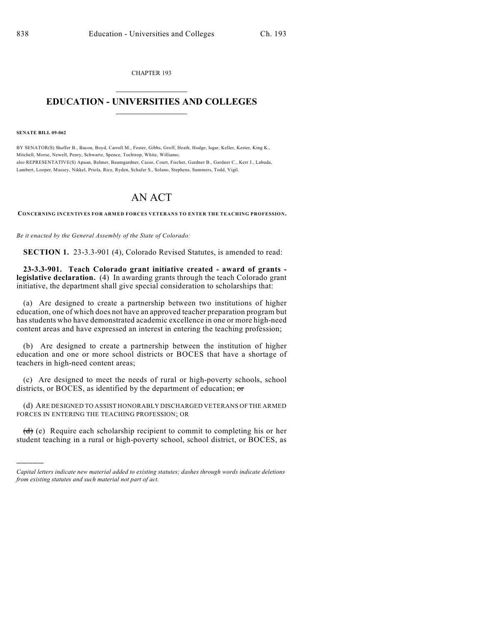CHAPTER 193  $\mathcal{L}_\text{max}$  . The set of the set of the set of the set of the set of the set of the set of the set of the set of the set of the set of the set of the set of the set of the set of the set of the set of the set of the set

## **EDUCATION - UNIVERSITIES AND COLLEGES**  $\frac{1}{2}$

**SENATE BILL 09-062**

)))))

BY SENATOR(S) Shaffer B., Bacon, Boyd, Carroll M., Foster, Gibbs, Groff, Heath, Hodge, Isgar, Keller, Kester, King K., Mitchell, Morse, Newell, Penry, Schwartz, Spence, Tochtrop, White, Williams; also REPRESENTATIVE(S) Apuan, Balmer, Baumgardner, Casso, Court, Fischer, Gardner B., Gardner C., Kerr J., Labuda, Lambert, Looper, Massey, Nikkel, Priola, Rice, Ryden, Schafer S., Solano, Stephens, Summers, Todd, Vigil.

## AN ACT

**CONCERNING INCENTIVES FOR ARMED FORCES VETERANS TO ENTER THE TEACHING PROFESSION.**

*Be it enacted by the General Assembly of the State of Colorado:*

**SECTION 1.** 23-3.3-901 (4), Colorado Revised Statutes, is amended to read:

**23-3.3-901. Teach Colorado grant initiative created - award of grants legislative declaration.** (4) In awarding grants through the teach Colorado grant initiative, the department shall give special consideration to scholarships that:

(a) Are designed to create a partnership between two institutions of higher education, one of which does not have an approved teacher preparation program but has students who have demonstrated academic excellence in one or more high-need content areas and have expressed an interest in entering the teaching profession;

(b) Are designed to create a partnership between the institution of higher education and one or more school districts or BOCES that have a shortage of teachers in high-need content areas;

(c) Are designed to meet the needs of rural or high-poverty schools, school districts, or BOCES, as identified by the department of education; or

(d) ARE DESIGNED TO ASSIST HONORABLY DISCHARGED VETERANS OF THE ARMED FORCES IN ENTERING THE TEACHING PROFESSION; OR

 $(d)$  (e) Require each scholarship recipient to commit to completing his or her student teaching in a rural or high-poverty school, school district, or BOCES, as

*Capital letters indicate new material added to existing statutes; dashes through words indicate deletions from existing statutes and such material not part of act.*